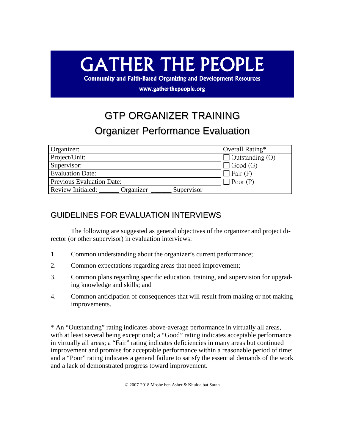## **GATHER THE PEOPLE**

**Community and Faith-Based Organizing and Development Resources** 

www.gatherthepeople.org

## GTP ORGANIZER TRAINING Organizer Performance Evaluation

| Organizer:                                   | Overall Rating*        |
|----------------------------------------------|------------------------|
| Project/Unit:                                | $\Box$ Outstanding (O) |
| Supervisor:                                  | $\exists$ Good (G)     |
| <b>Evaluation Date:</b>                      | $\Box$ Fair (F)        |
| Previous Evaluation Date:                    | $\Box$ Poor (P)        |
| Review Initialed:<br>Organizer<br>Supervisor |                        |

## GUIDELINES FOR EVALUATION INTERVIEWS

The following are suggested as general objectives of the organizer and project director (or other supervisor) in evaluation interviews:

- 1. Common understanding about the organizer's current performance;
- 2. Common expectations regarding areas that need improvement;
- 3. Common plans regarding specific education, training, and supervision for upgrading knowledge and skills; and
- 4. Common anticipation of consequences that will result from making or not making improvements.

\* An "Outstanding" rating indicates above-average performance in virtually all areas, with at least several being exceptional; a "Good" rating indicates acceptable performance in virtually all areas; a "Fair" rating indicates deficiencies in many areas but continued improvement and promise for acceptable performance within a reasonable period of time; and a "Poor" rating indicates a general failure to satisfy the essential demands of the work and a lack of demonstrated progress toward improvement.

© 2007-2018 Moshe ben Asher & Khulda bat Sarah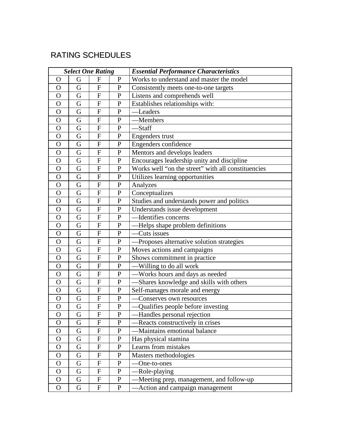## RATING SCHEDULES

| <b>Select One Rating</b> |   |                           | <b>Essential Performance Characteristics</b> |                                                    |
|--------------------------|---|---------------------------|----------------------------------------------|----------------------------------------------------|
| $\Omega$                 | G | F                         | ${\bf P}$                                    | Works to understand and master the model           |
| $\mathbf{O}$             | G | $\mathbf F$               | $\mathbf{P}$                                 | Consistently meets one-to-one targets              |
| $\mathbf{O}$             | G | ${\bf F}$                 | $\mathbf{P}$                                 | Listens and comprehends well                       |
| $\mathbf O$              | G | F                         | ${\bf P}$                                    | Establishes relationships with:                    |
| $\Omega$                 | G | ${\bf F}$                 | ${\bf P}$                                    | -Leaders                                           |
| $\Omega$                 | G | $\boldsymbol{\mathrm{F}}$ | ${\bf P}$                                    | -Members                                           |
| $\mathbf O$              | G | $\mathbf F$               | $\mathbf{P}$                                 | -Staff                                             |
| $\Omega$                 | G | ${\bf F}$                 | ${\bf P}$                                    | Engenders trust                                    |
| $\mathbf O$              | G | F                         | $\mathbf P$                                  | Engenders confidence                               |
| $\Omega$                 | G | ${\bf F}$                 | $\mathbf{P}$                                 | Mentors and develops leaders                       |
| $\Omega$                 | G | $\mathbf F$               | ${\bf P}$                                    | Encourages leadership unity and discipline         |
| $\mathbf O$              | G | $\mathbf F$               | $\mathbf P$                                  | Works well "on the street" with all constituencies |
| $\Omega$                 | G | ${\bf F}$                 | $\mathbf{P}$                                 | Utilizes learning opportunities                    |
| $\mathbf O$              | G | F                         | ${\bf P}$                                    | Analyzes                                           |
| $\Omega$                 | G | ${\bf F}$                 | $\mathbf{P}$                                 | Conceptualizes                                     |
| $\Omega$                 | G | $\mathbf F$               | ${\bf P}$                                    | Studies and understands power and politics         |
| $\mathbf O$              | G | $\mathbf F$               | $\mathbf P$                                  | Understands issue development                      |
| $\mathbf{O}$             | G | ${\bf F}$                 | $\mathbf{P}$                                 | -Identifies concerns                               |
| $\mathbf O$              | G | F                         | $\mathbf{P}$                                 | -Helps shape problem definitions                   |
| $\mathbf{O}$             | G | $\mathbf{F}$              | $\mathbf{P}$                                 | Cuts issues                                        |
| $\mathbf{O}$             | G | $\mathbf F$               | ${\bf P}$                                    | Proposes alternative solution strategies           |
| $\mathbf O$              | G | $\mathbf F$               | $\mathbf P$                                  | Moves actions and campaigns                        |
| $\mathbf{O}$             | G | ${\bf F}$                 | $\mathbf{P}$                                 | Shows commitment in practice                       |
| $\mathbf O$              | G | F                         | $\mathbf P$                                  | —Willing to do all work                            |
| $\mathbf{O}$             | G | ${\bf F}$                 | $\mathbf{P}$                                 | -Works hours and days as needed                    |
| $\mathbf{O}$             | G | $\boldsymbol{\mathrm{F}}$ | ${\bf P}$                                    | Shares knowledge and skills with others            |
| $\mathbf O$              | G | $\boldsymbol{\mathrm{F}}$ | $\mathbf P$                                  | Self-manages morale and energy                     |
| $\mathbf{O}$             | G | ${\bf F}$                 | $\mathbf{P}$                                 | Conserves own resources                            |
| $\mathbf O$              | G | F                         | P                                            | Qualifies people before investing                  |
| $\overline{O}$           | G | $\mathbf F$               | ${\bf P}$                                    | Handles personal rejection                         |
| $\mathbf{O}$             | G | ${\bf F}$                 | ${\bf P}$                                    | -Reacts constructively in crises                   |
| O                        | G | F                         | $\mathbf{P}$                                 | Maintains emotional balance                        |
| $\mathbf{O}$             | G | ${\bf F}$                 | $\mathbf{P}$                                 | Has physical stamina                               |
| $\mathbf O$              | G | $\boldsymbol{F}$          | $\mathbf P$                                  | Learns from mistakes                               |
| $\mathbf O$              | G | ${\bf F}$                 | $\mathbf{P}$                                 | Masters methodologies                              |
| $\mathbf{O}$             | G | $\mathbf F$               | ${\bf P}$                                    | One-to-ones                                        |
| $\mathbf{O}$             | G | $\boldsymbol{\mathrm{F}}$ | $\mathbf{P}$                                 | Role-playing                                       |
| $\mathbf{O}$             | G | ${\bf F}$                 | $\mathbf{P}$                                 | -Meeting prep, management, and follow-up           |
| $\mathbf O$              | G | $\boldsymbol{\mathrm{F}}$ | $\mathbf{P}$                                 | Action and campaign management                     |